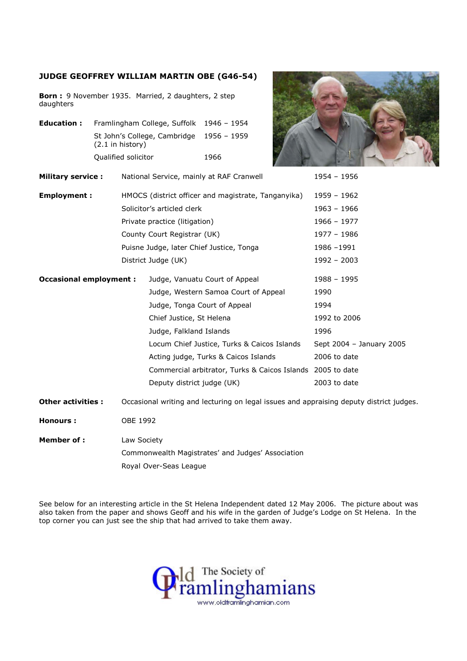## JUDGE GEOFFREY WILLIAM MARTIN OBE (G46-54)

Born : 9 November 1935. Married, 2 daughters, 2 step daughters

Education : Framlingham College, Suffolk 1946 - 1954 St John's College, Cambridge 1956 – 1959 (2.1 in history) Qualified solicitor 1966



Military service : National Service, mainly at RAF Cranwell 1954 – 1956 Employment : HMOCS (district officer and magistrate, Tanganyika) 1959 – 1962 Solicitor's articled clerk 1963 – 1966 Private practice (litigation) 1966 – 1977 County Court Registrar (UK) 1977 - 1986 Puisne Judge, later Chief Justice, Tonga 1986 -1991 District Judge (UK) 1992 – 2003 **Occasional employment :** Judge, Vanuatu Court of Appeal 1988 – 1995 Judge, Western Samoa Court of Appeal 1990 Judge, Tonga Court of Appeal 1994 Chief Justice, St Helena 1992 to 2006 Judge, Falkland Islands 1996 Locum Chief Justice, Turks & Caicos Islands Sept 2004 - January 2005 Acting judge, Turks & Caicos Islands 2006 to date Commercial arbitrator, Turks & Caicos Islands 2005 to date Deputy district judge (UK) 2003 to date Other activities : Occasional writing and lecturing on legal issues and appraising deputy district judges.

Honours : OBE 1992

Member of : Law Society Commonwealth Magistrates' and Judges' Association Royal Over-Seas League

See below for an interesting article in the St Helena Independent dated 12 May 2006. The picture about was also taken from the paper and shows Geoff and his wife in the garden of Judge's Lodge on St Helena. In the top corner you can just see the ship that had arrived to take them away.

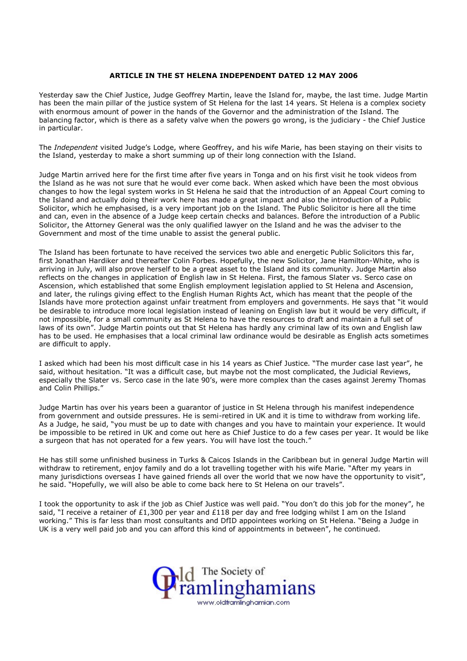## ARTICLE IN THE ST HELENA INDEPENDENT DATED 12 MAY 2006

Yesterday saw the Chief Justice, Judge Geoffrey Martin, leave the Island for, maybe, the last time. Judge Martin has been the main pillar of the justice system of St Helena for the last 14 years. St Helena is a complex society with enormous amount of power in the hands of the Governor and the administration of the Island. The balancing factor, which is there as a safety valve when the powers go wrong, is the judiciary - the Chief Justice in particular.

The Independent visited Judge's Lodge, where Geoffrey, and his wife Marie, has been staying on their visits to the Island, yesterday to make a short summing up of their long connection with the Island.

Judge Martin arrived here for the first time after five years in Tonga and on his first visit he took videos from the Island as he was not sure that he would ever come back. When asked which have been the most obvious changes to how the legal system works in St Helena he said that the introduction of an Appeal Court coming to the Island and actually doing their work here has made a great impact and also the introduction of a Public Solicitor, which he emphasised, is a very important job on the Island. The Public Solicitor is here all the time and can, even in the absence of a Judge keep certain checks and balances. Before the introduction of a Public Solicitor, the Attorney General was the only qualified lawyer on the Island and he was the adviser to the Government and most of the time unable to assist the general public.

The Island has been fortunate to have received the services two able and energetic Public Solicitors this far, first Jonathan Hardiker and thereafter Colin Forbes. Hopefully, the new Solicitor, Jane Hamilton-White, who is arriving in July, will also prove herself to be a great asset to the Island and its community. Judge Martin also reflects on the changes in application of English law in St Helena. First, the famous Slater vs. Serco case on Ascension, which established that some English employment legislation applied to St Helena and Ascension, and later, the rulings giving effect to the English Human Rights Act, which has meant that the people of the Islands have more protection against unfair treatment from employers and governments. He says that "it would be desirable to introduce more local legislation instead of leaning on English law but it would be very difficult, if not impossible, for a small community as St Helena to have the resources to draft and maintain a full set of laws of its own". Judge Martin points out that St Helena has hardly any criminal law of its own and English law has to be used. He emphasises that a local criminal law ordinance would be desirable as English acts sometimes are difficult to apply.

I asked which had been his most difficult case in his 14 years as Chief Justice. "The murder case last year", he said, without hesitation. "It was a difficult case, but maybe not the most complicated, the Judicial Reviews, especially the Slater vs. Serco case in the late 90's, were more complex than the cases against Jeremy Thomas and Colin Phillips."

Judge Martin has over his years been a guarantor of justice in St Helena through his manifest independence from government and outside pressures. He is semi-retired in UK and it is time to withdraw from working life. As a Judge, he said, "you must be up to date with changes and you have to maintain your experience. It would be impossible to be retired in UK and come out here as Chief Justice to do a few cases per year. It would be like a surgeon that has not operated for a few years. You will have lost the touch."

He has still some unfinished business in Turks & Caicos Islands in the Caribbean but in general Judge Martin will withdraw to retirement, enjoy family and do a lot travelling together with his wife Marie. "After my years in many jurisdictions overseas I have gained friends all over the world that we now have the opportunity to visit", he said. "Hopefully, we will also be able to come back here to St Helena on our travels".

I took the opportunity to ask if the job as Chief Justice was well paid. "You don't do this job for the money", he said, "I receive a retainer of £1,300 per year and £118 per day and free lodging whilst I am on the Island working." This is far less than most consultants and DfID appointees working on St Helena. "Being a Judge in UK is a very well paid job and you can afford this kind of appointments in between", he continued.